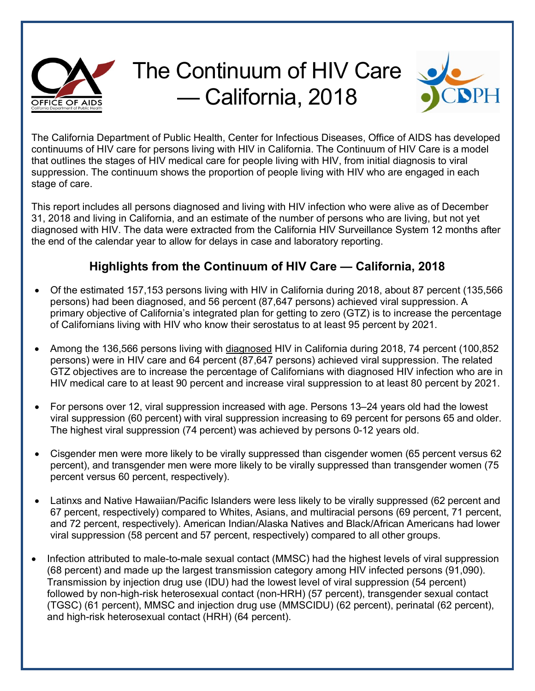

## The Continuum of HIV Care — California, 2018



The California Department of Public Health, Center for Infectious Diseases, Office of AIDS has developed continuums of HIV care for persons living with HIV in California. The Continuum of HIV Care is a model that outlines the stages of HIV medical care for people living with HIV, from initial diagnosis to viral suppression. The continuum shows the proportion of people living with HIV who are engaged in each stage of care.

This report includes all persons diagnosed and living with HIV infection who were alive as of December 31, 2018 and living in California, and an estimate of the number of persons who are living, but not yet diagnosed with HIV. The data were extracted from the California HIV Surveillance System 12 months after the end of the calendar year to allow for delays in case and laboratory reporting.

## **Highlights from the Continuum of HIV Care — California, 2018**

- Of the estimated 157,153 persons living with HIV in California during 2018, about 87 percent (135,566 persons) had been diagnosed, and 56 percent (87,647 persons) achieved viral suppression. A primary objective of California's integrated plan for getting to zero (GTZ) is to increase the percentage of Californians living with HIV who know their serostatus to at least 95 percent by 2021.
- Among the 136,566 persons living with diagnosed HIV in California during 2018, 74 percent (100,852 persons) were in HIV care and 64 percent (87,647 persons) achieved viral suppression. The related GTZ objectives are to increase the percentage of Californians with diagnosed HIV infection who are in HIV medical care to at least 90 percent and increase viral suppression to at least 80 percent by 2021.
- For persons over 12, viral suppression increased with age. Persons 13–24 years old had the lowest viral suppression (60 percent) with viral suppression increasing to 69 percent for persons 65 and older. The highest viral suppression (74 percent) was achieved by persons 0-12 years old.
- Cisgender men were more likely to be virally suppressed than cisgender women (65 percent versus 62 percent), and transgender men were more likely to be virally suppressed than transgender women (75 percent versus 60 percent, respectively).
- Latinxs and Native Hawaiian/Pacific Islanders were less likely to be virally suppressed (62 percent and 67 percent, respectively) compared to Whites, Asians, and multiracial persons (69 percent, 71 percent, and 72 percent, respectively). American Indian/Alaska Natives and Black/African Americans had lower viral suppression (58 percent and 57 percent, respectively) compared to all other groups.
- Infection attributed to male-to-male sexual contact (MMSC) had the highest levels of viral suppression (68 percent) and made up the largest transmission category among HIV infected persons (91,090). Transmission by injection drug use (IDU) had the lowest level of viral suppression (54 percent) followed by non-high-risk heterosexual contact (non-HRH) (57 percent), transgender sexual contact (TGSC) (61 percent), MMSC and injection drug use (MMSCIDU) (62 percent), perinatal (62 percent), and high-risk heterosexual contact (HRH) (64 percent).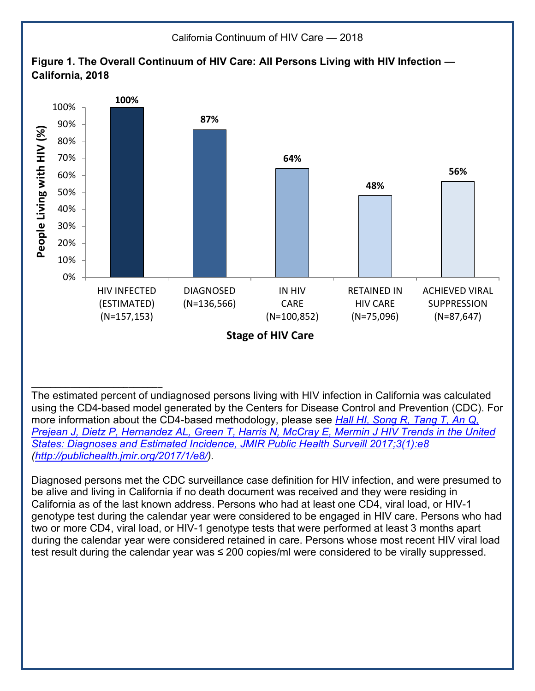

The estimated percent of undiagnosed persons living with HIV infection in California was calculated using the CD4-based model generated by the Centers for Disease Control and Prevention (CDC). For more information about the CD4-based methodology, please see *[Hall HI, Song R, Tang T, An Q,](http://publichealth.jmir.org/2017/1/e8/) [Prejean J, Dietz P, Hernandez AL, Green T, Harris N, McCray E, Mermin J HIV Trends in the United](http://publichealth.jmir.org/2017/1/e8/) [States: Diagnoses and Estimated Incidence, JMIR Public Health Surveill 2017;3\(1\):e8](http://publichealth.jmir.org/2017/1/e8/) (<http://publichealth.jmir.org/2017/1/e8/>).*

**\_\_\_\_\_\_\_\_\_\_\_\_\_\_\_\_\_\_\_\_\_\_\_\_\_\_\_**

Diagnosed persons met the CDC surveillance case definition for HIV infection, and were presumed to be alive and living in California if no death document was received and they were residing in California as of the last known address. Persons who had at least one CD4, viral load, or HIV-1 genotype test during the calendar year were considered to be engaged in HIV care. Persons who had two or more CD4, viral load, or HIV-1 genotype tests that were performed at least 3 months apart during the calendar year were considered retained in care. Persons whose most recent HIV viral load test result during the calendar year was ≤ 200 copies/ml were considered to be virally suppressed.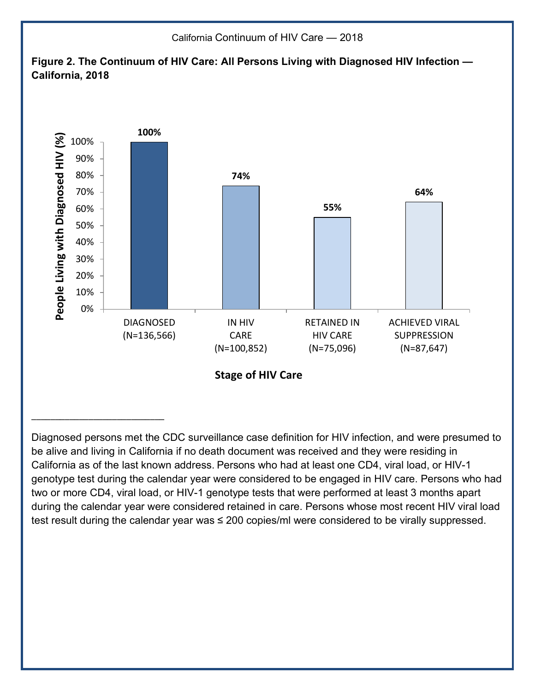

Diagnosed persons met the CDC surveillance case definition for HIV infection, and were presumed to be alive and living in California if no death document was received and they were residing in California as of the last known address. Persons who had at least one CD4, viral load, or HIV-1 genotype test during the calendar year were considered to be engaged in HIV care. Persons who had two or more CD4, viral load, or HIV-1 genotype tests that were performed at least 3 months apart during the calendar year were considered retained in care. Persons whose most recent HIV viral load test result during the calendar year was ≤ 200 copies/ml were considered to be virally suppressed.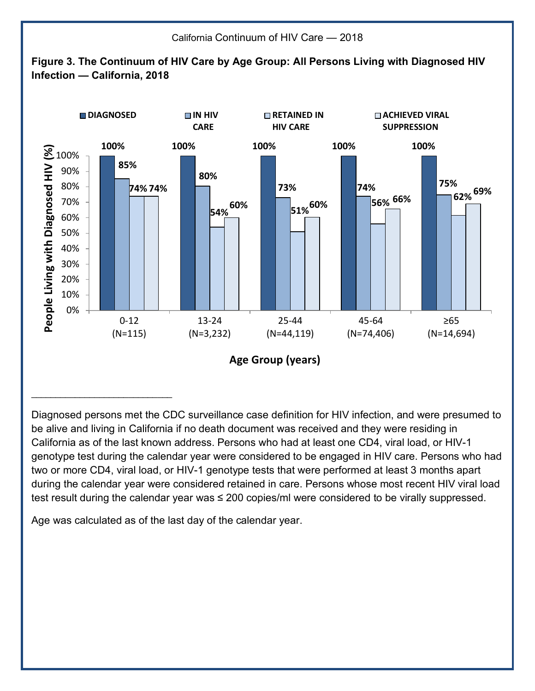

Diagnosed persons met the CDC surveillance case definition for HIV infection, and were presumed to be alive and living in California if no death document was received and they were residing in California as of the last known address. Persons who had at least one CD4, viral load, or HIV-1 genotype test during the calendar year were considered to be engaged in HIV care. Persons who had two or more CD4, viral load, or HIV-1 genotype tests that were performed at least 3 months apart during the calendar year were considered retained in care. Persons whose most recent HIV viral load test result during the calendar year was ≤ 200 copies/ml were considered to be virally suppressed.

Age was calculated as of the last day of the calendar year.

\_\_\_\_\_\_\_\_\_\_\_\_\_\_\_\_\_\_\_\_\_\_\_\_\_\_\_\_\_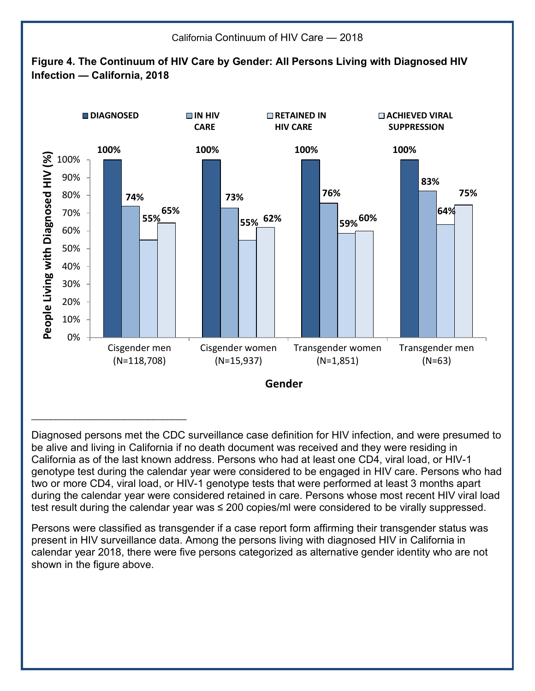

Diagnosed persons met the CDC surveillance case definition for HIV infection, and were presumed to be alive and living in California if no death document was received and they were residing in California as of the last known address. Persons who had at least one CD4, viral load, or HIV-1 genotype test during the calendar year were considered to be engaged in HIV care. Persons who had two or more CD4, viral load, or HIV-1 genotype tests that were performed at least 3 months apart during the calendar year were considered retained in care. Persons whose most recent HIV viral load test result during the calendar year was ≤ 200 copies/ml were considered to be virally suppressed.

Persons were classified as transgender if a case report form affirming their transgender status was present in HIV surveillance data. Among the persons living with diagnosed HIV in California in calendar year 2018, there were five persons categorized as alternative gender identity who are not shown in the figure above.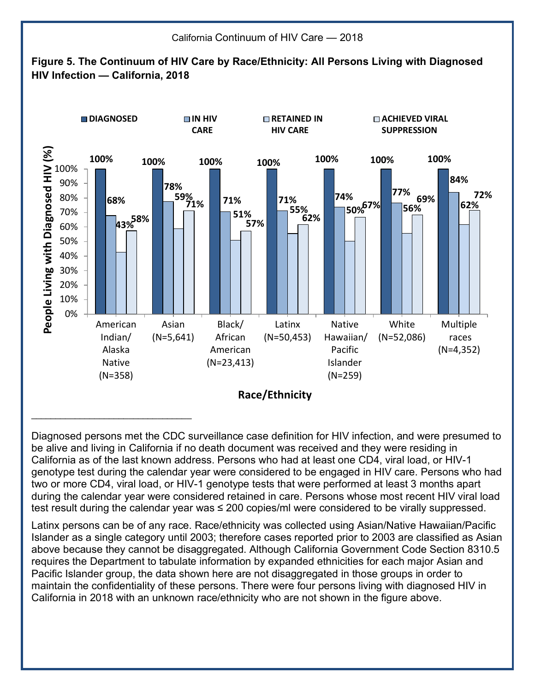

California Continuum of HIV Care — 2018

Diagnosed persons met the CDC surveillance case definition for HIV infection, and were presumed to be alive and living in California if no death document was received and they were residing in California as of the last known address. Persons who had at least one CD4, viral load, or HIV-1 genotype test during the calendar year were considered to be engaged in HIV care. Persons who had two or more CD4, viral load, or HIV-1 genotype tests that were performed at least 3 months apart during the calendar year were considered retained in care. Persons whose most recent HIV viral load test result during the calendar year was ≤ 200 copies/ml were considered to be virally suppressed.

Latinx persons can be of any race. Race/ethnicity was collected using Asian/Native Hawaiian/Pacific Islander as a single category until 2003; therefore cases reported prior to 2003 are classified as Asian above because they cannot be disaggregated. Although California Government Code Section 8310.5 requires the Department to tabulate information by expanded ethnicities for each major Asian and Pacific Islander group, the data shown here are not disaggregated in those groups in order to maintain the confidentiality of these persons. There were four persons living with diagnosed HIV in California in 2018 with an unknown race/ethnicity who are not shown in the figure above.